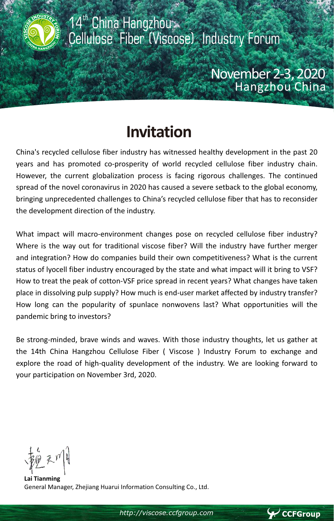

# **Invitation**

China's recycled cellulose fiber industry has witnessed healthy development in the past 20 years and has promoted co-prosperity of world recycled cellulose fiber industry chain. However, the current globalization process is facing rigorous challenges. The continued spread of the novel coronavirus in 2020 has caused a severe setback to the global economy, bringing unprecedented challenges to China's recycled cellulose fiber that has to reconsider the development direction of the industry.

What impact will macro-environment changes pose on recycled cellulose fiber industry? Where is the way out for traditional viscose fiber? Will the industry have further merger and integration? How do companies build their own competitiveness? What is the current status of lyocell fiber industry encouraged by the state and what impact will it bring to VSF? How to treat the peak of cotton-VSF price spread in recent years? What changes have taken place in dissolving pulp supply? How much is end-user market affected by industry transfer? How long can the popularity of spunlace nonwovens last? What opportunities will the pandemic bring to investors?

Be strong-minded, brave winds and waves. With those industry thoughts, let us gather at the 14th China Hangzhou Cellulose Fiber ( Viscose ) Industry Forum to exchange and explore the road of high-quality development of the industry. We are looking forward to your participation on November 3rd, 2020.

**Lai Tianming**  General Manager, Zhejiang Huarui Information Consulting Co., Ltd.

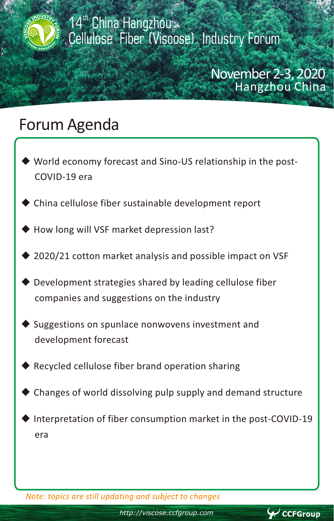

### November 2-3, 2020 Hangzhou China

## Forum Agenda

- World economy forecast and Sino-US relationship in the post-COVID-19 era
- China cellulose fiber sustainable development report
- How long will VSF market depression last?
- 2020/21 cotton market analysis and possible impact on VSF
- Development strategies shared by leading cellulose fiber companies and suggestions on the industry
- Suggestions on spunlace nonwovens investment and development forecast
- Recycled cellulose fiber brand operation sharing
- Changes of world dissolving pulp supply and demand structure
- Interpretation of fiber consumption market in the post-COVID-19 era

*Note: topics are still updating and subject to changes*

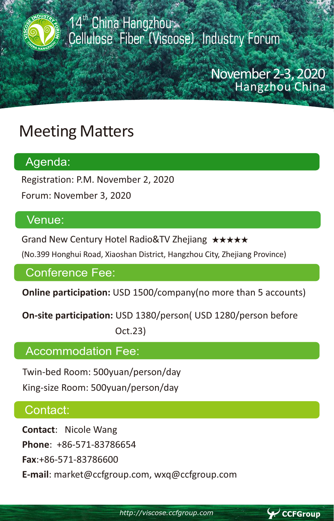

14<sup>th</sup> China Hangzhou Cellulose Fiber (Viscose) Industry Forum

### November 2-3, 2020 Hangzhou China

 $\blacktriangleright$  CCFGroup

# Meeting Matters

#### Agenda:

Registration: P.M. November 2, 2020

Forum: November 3, 2020

#### Venue:

Grand New Century Hotel Radio&TV Zhejiang ★★★★★

(No.399 Honghui Road, Xiaoshan District, Hangzhou City, Zhejiang Province)

#### Conference Fee:

**Online participation:** USD 1500/company(no more than 5 accounts)

**On-site participation:** USD 1380/person( USD 1280/person before Oct.23)

#### Accommodation Fee:

Twin-bed Room: 500yuan/person/day

King-size Room: 500yuan/person/day

#### Contact:

í

**Contact**: Nicole Wang **Phone**: +86-571-83786654

**Fax**:+86-571-83786600

**E-mail**: market@ccfgroup.com, wxq@ccfgroup.com

*http://viscose.ccfgroup.com*